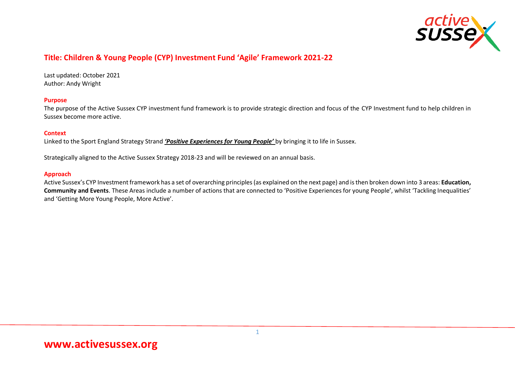

## **Title: Children & Young People (CYP) Investment Fund 'Agile' Framework 2021-22**

Last updated: October 2021 Author: Andy Wright

### **Purpose**

The purpose of the Active Sussex CYP investment fund framework is to provide strategic direction and focus of the CYP Investment fund to help children in Sussex become more active.

### **Context**

Linked to the Sport England Strategy Strand *'Positive Experiences for Young People'* by bringing it to life in Sussex.

Strategically aligned to the Active Sussex Strategy 2018-23 and will be reviewed on an annual basis.

#### **Approach**

Active Sussex's CYP Investment framework has a set of overarching principles (as explained on the next page) and is then broken down into 3 areas: **Education, Community and Events**. These Areas include a number of actions that are connected to 'Positive Experiences for young People', whilst 'Tackling Inequalities' and 'Getting More Young People, More Active'.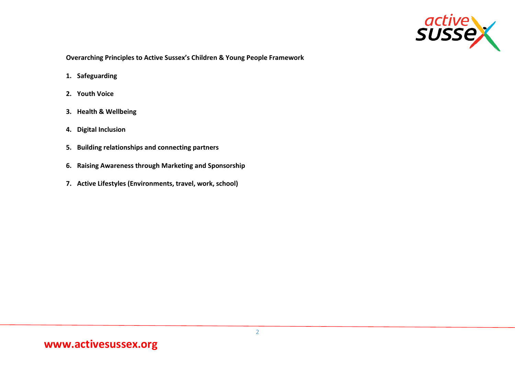

**Overarching Principles to Active Sussex's Children & Young People Framework** 

- **1. Safeguarding**
- **2. Youth Voice**
- **3. Health & Wellbeing**
- **4. Digital Inclusion**
- **5. Building relationships and connecting partners**
- **6. Raising Awareness through Marketing and Sponsorship**
- **7. Active Lifestyles (Environments, travel, work, school)**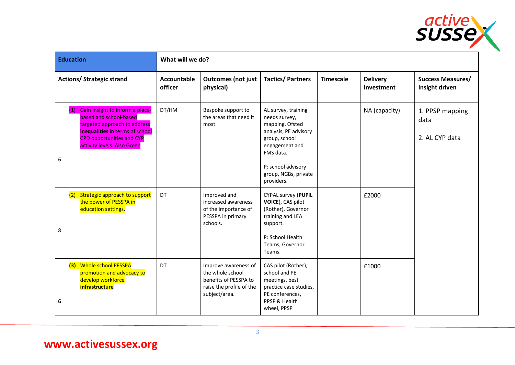

| <b>Education</b>                                                                                                                                                                                            | What will we do?              |                                                                                                                |                                                                                                                                                                                              |                  |                               |                                            |  |  |
|-------------------------------------------------------------------------------------------------------------------------------------------------------------------------------------------------------------|-------------------------------|----------------------------------------------------------------------------------------------------------------|----------------------------------------------------------------------------------------------------------------------------------------------------------------------------------------------|------------------|-------------------------------|--------------------------------------------|--|--|
| <b>Actions/ Strategic strand</b>                                                                                                                                                                            | <b>Accountable</b><br>officer | <b>Outcomes (not just</b><br>physical)                                                                         | <b>Tactics/Partners</b>                                                                                                                                                                      | <b>Timescale</b> | <b>Delivery</b><br>Investment | <b>Success Measures/</b><br>Insight driven |  |  |
| Gain insight to inform a place-<br>(1)<br>based and school-based<br>targeted approach to address<br>inequalities in terms of school<br><b>CPD opportunities and CYP</b><br>activity levels. Also Green<br>6 | DT/HM                         | Bespoke support to<br>the areas that need it<br>most.                                                          | AL survey, training<br>needs survey,<br>mapping, Ofsted<br>analysis, PE advisory<br>group, school<br>engagement and<br>FMS data.<br>P: school advisory<br>group, NGBs, private<br>providers. |                  | NA (capacity)                 | 1. PPSP mapping<br>data<br>2. AL CYP data  |  |  |
| Strategic approach to support<br>(2)<br>the power of PESSPA in<br>education settings.<br>8                                                                                                                  | DT                            | Improved and<br>increased awareness<br>of the importance of<br>PESSPA in primary<br>schools.                   | <b>CYPAL survey (PUPIL</b><br>VOICE), CAS pilot<br>(Rother), Governor<br>training and LEA<br>support.<br>P: School Health<br>Teams, Governor<br>Teams.                                       |                  | £2000                         |                                            |  |  |
| (3) Whole school PESSPA<br>promotion and advocacy to<br>develop workforce<br><i>infrastructure</i><br>6                                                                                                     | DT                            | Improve awareness of<br>the whole school<br>benefits of PESSPA to<br>raise the profile of the<br>subject/area. | CAS pilot (Rother),<br>school and PE<br>meetings, best<br>practice case studies,<br>PE conferences,<br>PPSP & Health<br>wheel, PPSP                                                          |                  | £1000                         |                                            |  |  |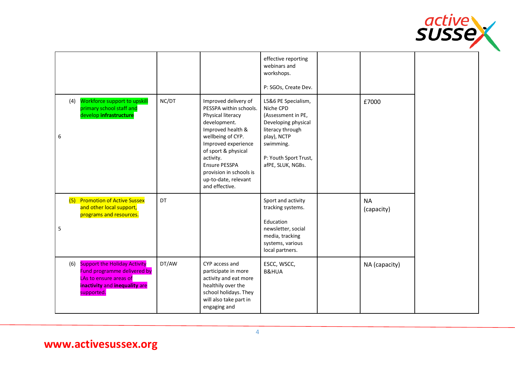

|                                                                                                                                                    |       |                                                                                                                                                                                                                                                                                | effective reporting<br>webinars and<br>workshops.<br>P: SGOs, Create Dev.                                                                                                   |                         |  |
|----------------------------------------------------------------------------------------------------------------------------------------------------|-------|--------------------------------------------------------------------------------------------------------------------------------------------------------------------------------------------------------------------------------------------------------------------------------|-----------------------------------------------------------------------------------------------------------------------------------------------------------------------------|-------------------------|--|
| Workforce support to upskill<br>(4)<br>primary school staff and<br>develop infrastructure<br>6                                                     | NC/DT | Improved delivery of<br>PESSPA within schools.<br>Physical literacy<br>development.<br>Improved health &<br>wellbeing of CYP.<br>Improved experience<br>of sport & physical<br>activity.<br>Ensure PESSPA<br>provision in schools is<br>up-to-date, relevant<br>and effective. | L5&6 PE Specialism,<br>Niche CPD<br>(Assessment in PE,<br>Developing physical<br>literacy through<br>play), NCTP<br>swimming.<br>P: Youth Sport Trust,<br>afPE, SLUK, NGBs. | £7000                   |  |
| <b>Promotion of Active Sussex</b><br>(5)<br>and other local support,<br>programs and resources.<br>5                                               | DT    |                                                                                                                                                                                                                                                                                | Sport and activity<br>tracking systems.<br>Education<br>newsletter, social<br>media, tracking<br>systems, various<br>local partners.                                        | <b>NA</b><br>(capacity) |  |
| <b>Support the Holiday Activity</b><br>(6)<br>Fund programme delivered by<br>LAs to ensure areas of<br>inactivity and inequality are<br>supported. | DT/AW | CYP access and<br>participate in more<br>activity and eat more<br>healthily over the<br>school holidays. They<br>will also take part in<br>engaging and                                                                                                                        | ESCC, WSCC,<br><b>B&amp;HUA</b>                                                                                                                                             | NA (capacity)           |  |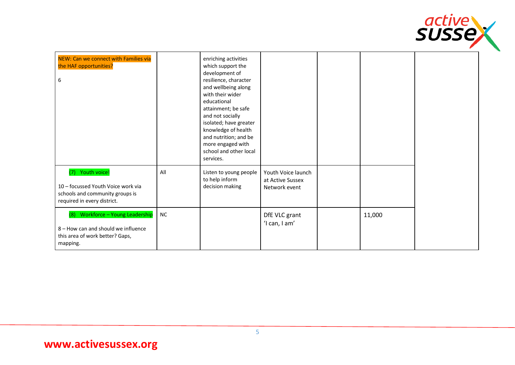

| NEW: Can we connect with Families via<br>the HAF opportunities?<br>6                                                      |           | enriching activities<br>which support the<br>development of<br>resilience, character<br>and wellbeing along<br>with their wider<br>educational<br>attainment; be safe<br>and not socially<br>isolated; have greater<br>knowledge of health<br>and nutrition; and be<br>more engaged with<br>school and other local<br>services. |                                                         |        |  |
|---------------------------------------------------------------------------------------------------------------------------|-----------|---------------------------------------------------------------------------------------------------------------------------------------------------------------------------------------------------------------------------------------------------------------------------------------------------------------------------------|---------------------------------------------------------|--------|--|
| (7) Youth voice!<br>10 - focussed Youth Voice work via<br>schools and community groups is<br>required in every district.  | All       | Listen to young people<br>to help inform<br>decision making                                                                                                                                                                                                                                                                     | Youth Voice launch<br>at Active Sussex<br>Network event |        |  |
| Workforce - Young Leadership<br>(8)<br>8 - How can and should we influence<br>this area of work better? Gaps,<br>mapping. | <b>NC</b> |                                                                                                                                                                                                                                                                                                                                 | DfE VLC grant<br>'I can, I am'                          | 11,000 |  |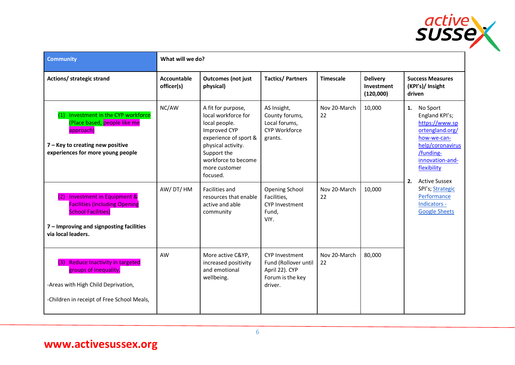

| <b>Community</b>                                                                                                                                                                   | What will we do?          |                                                                                                                                                                                              |                                                                                                |                    |                                            |                                                                                                                                                                                    |
|------------------------------------------------------------------------------------------------------------------------------------------------------------------------------------|---------------------------|----------------------------------------------------------------------------------------------------------------------------------------------------------------------------------------------|------------------------------------------------------------------------------------------------|--------------------|--------------------------------------------|------------------------------------------------------------------------------------------------------------------------------------------------------------------------------------|
| Actions/ strategic strand                                                                                                                                                          | Accountable<br>officer(s) | <b>Outcomes (not just</b><br>physical)                                                                                                                                                       | <b>Tactics/Partners</b>                                                                        | <b>Timescale</b>   | <b>Delivery</b><br>Investment<br>(120,000) | <b>Success Measures</b><br>(KPI's)/ Insight<br>driven                                                                                                                              |
| Investment in the CYP workforce<br>(Place based, people like me<br>approach)<br>7 - Key to creating new positive<br>experiences for more young people                              | NC/AW                     | A fit for purpose,<br>local workforce for<br>local people.<br>Improved CYP<br>experience of sport &<br>physical activity.<br>Support the<br>workforce to become<br>more customer<br>focused. | AS Insight,<br>County forums,<br>Local forums,<br><b>CYP Workforce</b><br>grants.              | Nov 20-March<br>22 | 10,000                                     | 1. No Sport<br>England KPI's;<br>https://www.sp<br>ortengland.org/<br>how-we-can-<br>help/coronavirus<br>/funding-<br>innovation-and-<br>flexibility<br><b>Active Sussex</b><br>2. |
| <b>Investment in Equipment &amp;</b><br>(2)<br><b>Facilities (including Opening</b><br><b>School Facilities)</b><br>7 - Improving and signposting facilities<br>via local leaders. | AW/DT/HM                  | Facilities and<br>resources that enable<br>active and able<br>community                                                                                                                      | <b>Opening School</b><br>Facilities,<br><b>CYP Investment</b><br>Fund,<br>VIY.                 | Nov 20-March<br>22 | 10,000                                     | SPI's; Strategic<br>Performance<br>Indicators -<br><b>Google Sheets</b>                                                                                                            |
| <b>Reduce Inactivity in targeted</b><br>(3)<br>groups of inequality.<br>-Areas with High Child Deprivation,<br>-Children in receipt of Free School Meals,                          | AW                        | More active C&YP,<br>increased positivity<br>and emotional<br>wellbeing.                                                                                                                     | <b>CYP Investment</b><br>Fund (Rollover until<br>April 22). CYP<br>Forum is the key<br>driver. | Nov 20-March<br>22 | 80,000                                     |                                                                                                                                                                                    |

# **www.activesussex.org**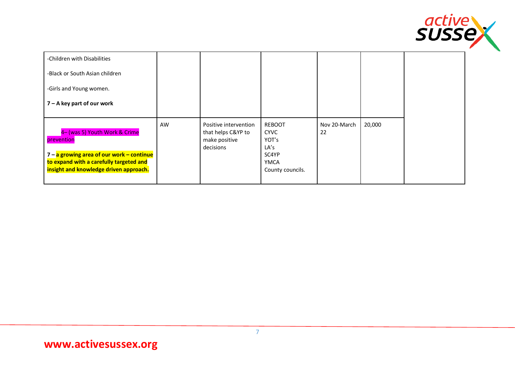

| -Children with Disabilities                                                                                                                                                   |    |                                                                           |                                                                                    |                    |        |
|-------------------------------------------------------------------------------------------------------------------------------------------------------------------------------|----|---------------------------------------------------------------------------|------------------------------------------------------------------------------------|--------------------|--------|
| -Black or South Asian children                                                                                                                                                |    |                                                                           |                                                                                    |                    |        |
| -Girls and Young women.                                                                                                                                                       |    |                                                                           |                                                                                    |                    |        |
| $7 - A$ key part of our work                                                                                                                                                  |    |                                                                           |                                                                                    |                    |        |
| 4- (was 5) Youth Work & Crime<br>prevention<br>7 – a growing area of our work – continue<br>to expand with a carefully targeted and<br>insight and knowledge driven approach. | AW | Positive intervention<br>that helps C&YP to<br>make positive<br>decisions | <b>REBOOT</b><br><b>CYVC</b><br>YOT's<br>LA's<br>SC4YP<br>YMCA<br>County councils. | Nov 20-March<br>22 | 20,000 |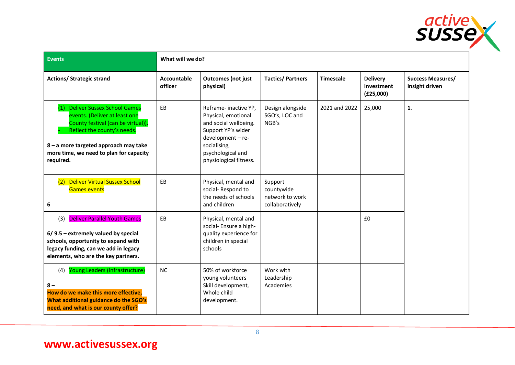

| <b>Events</b>                                                                                                                                                                                                                                    | What will we do?       |                                                                                                                                                                                |                                                             |                  |                                            |                                            |
|--------------------------------------------------------------------------------------------------------------------------------------------------------------------------------------------------------------------------------------------------|------------------------|--------------------------------------------------------------------------------------------------------------------------------------------------------------------------------|-------------------------------------------------------------|------------------|--------------------------------------------|--------------------------------------------|
| <b>Actions/ Strategic strand</b>                                                                                                                                                                                                                 | Accountable<br>officer | <b>Outcomes (not just</b><br>physical)                                                                                                                                         | <b>Tactics/Partners</b>                                     | <b>Timescale</b> | <b>Delivery</b><br>Investment<br>(E25,000) | <b>Success Measures/</b><br>insight driven |
| <b>Deliver Sussex School Games</b><br>(1)<br>events. (Deliver at least one<br>County festival (can be virtual)).<br>Reflect the county's needs.<br>8 - a more targeted approach may take<br>more time, we need to plan for capacity<br>required. | EB                     | Reframe-inactive YP,<br>Physical, emotional<br>and social wellbeing.<br>Support YP's wider<br>development - re-<br>socialising,<br>psychological and<br>physiological fitness. | Design alongside<br>SGO's, LOC and<br>NGB's                 | 2021 and 2022    | 25,000                                     | 1.                                         |
| <b>Deliver Virtual Sussex School</b><br>(2)<br><b>Games events</b><br>6                                                                                                                                                                          | EB                     | Physical, mental and<br>social-Respond to<br>the needs of schools<br>and children                                                                                              | Support<br>countywide<br>network to work<br>collaboratively |                  |                                            |                                            |
| (3) Deliver Parallel Youth Games<br>$6/9.5$ – extremely valued by special<br>schools, opportunity to expand with<br>legacy funding, can we add in legacy<br>elements, who are the key partners.                                                  | EB                     | Physical, mental and<br>social- Ensure a high-<br>quality experience for<br>children in special<br>schools                                                                     |                                                             |                  | £0                                         |                                            |
| (4) Young Leaders (Infrastructure)<br>$8 -$<br>How do we make this more effective,<br>What additional guidance do the SGO's<br>need, and what is our county offer?                                                                               | <b>NC</b>              | 50% of workforce<br>young volunteers<br>Skill development,<br>Whole child<br>development.                                                                                      | Work with<br>Leadership<br>Academies                        |                  |                                            |                                            |